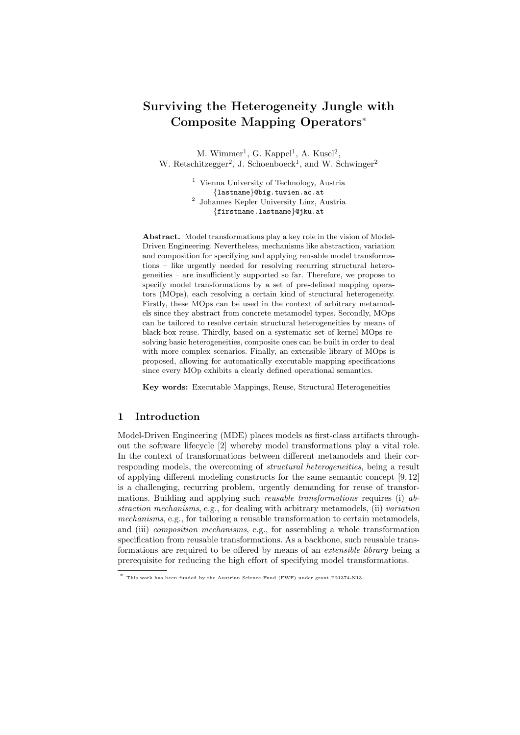# Surviving the Heterogeneity Jungle with Composite Mapping Operators<sup>∗</sup>

M. Wimmer<sup>1</sup>, G. Kappel<sup>1</sup>, A. Kusel<sup>2</sup>, W. Retschitzegger<sup>2</sup>, J. Schoenboeck<sup>1</sup>, and W. Schwinger<sup>2</sup>

> <sup>1</sup> Vienna University of Technology, Austria {lastname}@big.tuwien.ac.at 2 Johannes Kepler University Linz, Austria {firstname.lastname}@jku.at

Abstract. Model transformations play a key role in the vision of Model-Driven Engineering. Nevertheless, mechanisms like abstraction, variation and composition for specifying and applying reusable model transformations – like urgently needed for resolving recurring structural heterogeneities – are insufficiently supported so far. Therefore, we propose to specify model transformations by a set of pre-defined mapping operators (MOps), each resolving a certain kind of structural heterogeneity. Firstly, these MOps can be used in the context of arbitrary metamodels since they abstract from concrete metamodel types. Secondly, MOps can be tailored to resolve certain structural heterogeneities by means of black-box reuse. Thirdly, based on a systematic set of kernel MOps resolving basic heterogeneities, composite ones can be built in order to deal with more complex scenarios. Finally, an extensible library of MOps is proposed, allowing for automatically executable mapping specifications since every MOp exhibits a clearly defined operational semantics.

Key words: Executable Mappings, Reuse, Structural Heterogeneities

# 1 Introduction

Model-Driven Engineering (MDE) places models as first-class artifacts throughout the software lifecycle [2] whereby model transformations play a vital role. In the context of transformations between different metamodels and their corresponding models, the overcoming of structural heterogeneities, being a result of applying different modeling constructs for the same semantic concept [9, 12] is a challenging, recurring problem, urgently demanding for reuse of transformations. Building and applying such reusable transformations requires (i) abstraction mechanisms, e.g., for dealing with arbitrary metamodels, (ii) variation mechanisms, e.g., for tailoring a reusable transformation to certain metamodels, and (iii) composition mechanisms, e.g., for assembling a whole transformation specification from reusable transformations. As a backbone, such reusable transformations are required to be offered by means of an extensible library being a prerequisite for reducing the high effort of specifying model transformations.

<sup>∗</sup> This work has been funded by the Austrian Science Fund (FWF) under grant P21374-N13.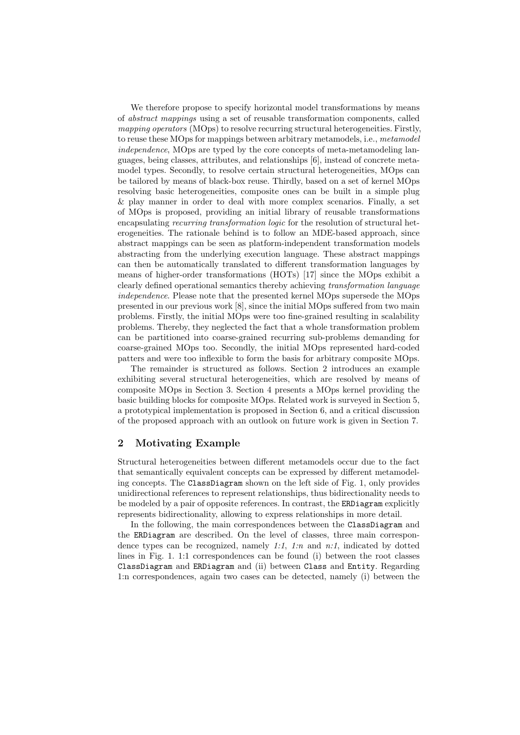We therefore propose to specify horizontal model transformations by means of abstract mappings using a set of reusable transformation components, called mapping operators (MOps) to resolve recurring structural heterogeneities. Firstly, to reuse these MOps for mappings between arbitrary metamodels, i.e., metamodel independence, MOps are typed by the core concepts of meta-metamodeling languages, being classes, attributes, and relationships [6], instead of concrete metamodel types. Secondly, to resolve certain structural heterogeneities, MOps can be tailored by means of black-box reuse. Thirdly, based on a set of kernel MOps resolving basic heterogeneities, composite ones can be built in a simple plug & play manner in order to deal with more complex scenarios. Finally, a set of MOps is proposed, providing an initial library of reusable transformations encapsulating *recurring transformation logic* for the resolution of structural heterogeneities. The rationale behind is to follow an MDE-based approach, since abstract mappings can be seen as platform-independent transformation models abstracting from the underlying execution language. These abstract mappings can then be automatically translated to different transformation languages by means of higher-order transformations (HOTs) [17] since the MOps exhibit a clearly defined operational semantics thereby achieving transformation language independence. Please note that the presented kernel MOps supersede the MOps presented in our previous work [8], since the initial MOps suffered from two main problems. Firstly, the initial MOps were too fine-grained resulting in scalability problems. Thereby, they neglected the fact that a whole transformation problem can be partitioned into coarse-grained recurring sub-problems demanding for coarse-grained MOps too. Secondly, the initial MOps represented hard-coded patters and were too inflexible to form the basis for arbitrary composite MOps.

The remainder is structured as follows. Section 2 introduces an example exhibiting several structural heterogeneities, which are resolved by means of composite MOps in Section 3. Section 4 presents a MOps kernel providing the basic building blocks for composite MOps. Related work is surveyed in Section 5, a prototypical implementation is proposed in Section 6, and a critical discussion of the proposed approach with an outlook on future work is given in Section 7.

## 2 Motivating Example

Structural heterogeneities between different metamodels occur due to the fact that semantically equivalent concepts can be expressed by different metamodeling concepts. The ClassDiagram shown on the left side of Fig. 1, only provides unidirectional references to represent relationships, thus bidirectionality needs to be modeled by a pair of opposite references. In contrast, the ERDiagram explicitly represents bidirectionality, allowing to express relationships in more detail.

In the following, the main correspondences between the ClassDiagram and the ERDiagram are described. On the level of classes, three main correspondence types can be recognized, namely 1:1, 1:n and n:1, indicated by dotted lines in Fig. 1. 1:1 correspondences can be found (i) between the root classes ClassDiagram and ERDiagram and (ii) between Class and Entity. Regarding 1:n correspondences, again two cases can be detected, namely (i) between the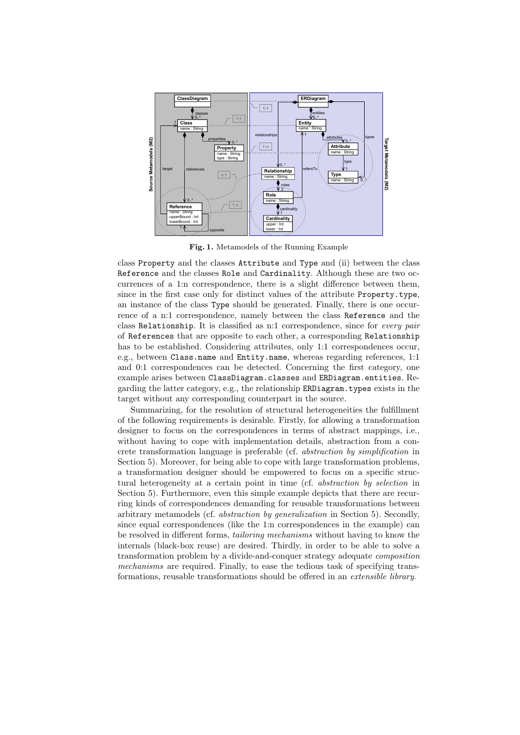

Fig. 1. Metamodels of the Running Example

class Property and the classes Attribute and Type and (ii) between the class Reference and the classes Role and Cardinality. Although these are two occurrences of a 1:n correspondence, there is a slight difference between them, since in the first case only for distinct values of the attribute Property.type, an instance of the class Type should be generated. Finally, there is one occurrence of a n:1 correspondence, namely between the class Reference and the class Relationship. It is classified as n:1 correspondence, since for every pair of References that are opposite to each other, a corresponding Relationship has to be established. Considering attributes, only 1:1 correspondences occur, e.g., between Class.name and Entity.name, whereas regarding references, 1:1 and 0:1 correspondences can be detected. Concerning the first category, one example arises between ClassDiagram.classes and ERDiagram.entities. Regarding the latter category, e.g., the relationship ERDiagram.types exists in the target without any corresponding counterpart in the source.

Summarizing, for the resolution of structural heterogeneities the fulfillment of the following requirements is desirable. Firstly, for allowing a transformation designer to focus on the correspondences in terms of abstract mappings, i.e., without having to cope with implementation details, abstraction from a concrete transformation language is preferable (cf. abstraction by simplification in Section 5). Moreover, for being able to cope with large transformation problems, a transformation designer should be empowered to focus on a specific structural heterogeneity at a certain point in time (cf. abstraction by selection in Section 5). Furthermore, even this simple example depicts that there are recurring kinds of correspondences demanding for reusable transformations between arbitrary metamodels (cf. abstraction by generalization in Section 5). Secondly, since equal correspondences (like the 1:n correspondences in the example) can be resolved in different forms, tailoring mechanisms without having to know the internals (black-box reuse) are desired. Thirdly, in order to be able to solve a transformation problem by a divide-and-conquer strategy adequate composition mechanisms are required. Finally, to ease the tedious task of specifying transformations, reusable transformations should be offered in an extensible library.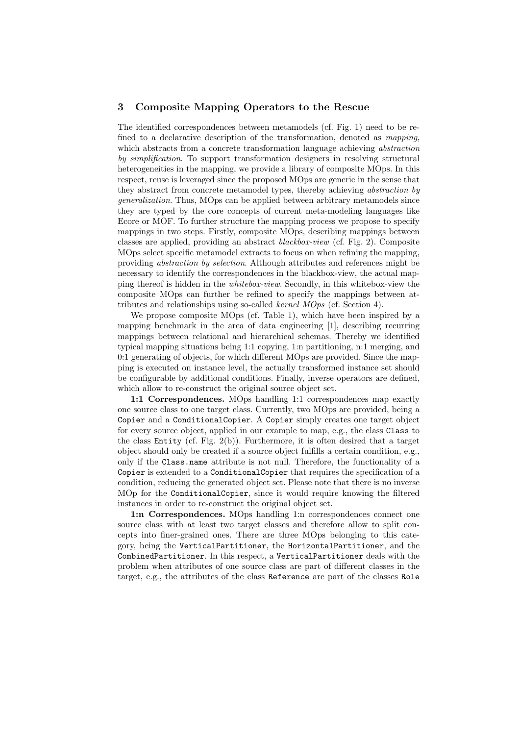#### 3 Composite Mapping Operators to the Rescue

The identified correspondences between metamodels (cf. Fig. 1) need to be refined to a declarative description of the transformation, denoted as mapping, which abstracts from a concrete transformation language achieving *abstraction* by simplification. To support transformation designers in resolving structural heterogeneities in the mapping, we provide a library of composite MOps. In this respect, reuse is leveraged since the proposed MOps are generic in the sense that they abstract from concrete metamodel types, thereby achieving abstraction by generalization. Thus, MOps can be applied between arbitrary metamodels since they are typed by the core concepts of current meta-modeling languages like Ecore or MOF. To further structure the mapping process we propose to specify mappings in two steps. Firstly, composite MOps, describing mappings between classes are applied, providing an abstract blackbox-view (cf. Fig. 2). Composite MOps select specific metamodel extracts to focus on when refining the mapping, providing abstraction by selection. Although attributes and references might be necessary to identify the correspondences in the blackbox-view, the actual mapping thereof is hidden in the whitebox-view. Secondly, in this whitebox-view the composite MOps can further be refined to specify the mappings between attributes and relationships using so-called kernel MOps (cf. Section 4).

We propose composite MOps (cf. Table 1), which have been inspired by a mapping benchmark in the area of data engineering [1], describing recurring mappings between relational and hierarchical schemas. Thereby we identified typical mapping situations being 1:1 copying, 1:n partitioning, n:1 merging, and 0:1 generating of objects, for which different MOps are provided. Since the mapping is executed on instance level, the actually transformed instance set should be configurable by additional conditions. Finally, inverse operators are defined, which allow to re-construct the original source object set.

1:1 Correspondences. MOps handling 1:1 correspondences map exactly one source class to one target class. Currently, two MOps are provided, being a Copier and a ConditionalCopier. A Copier simply creates one target object for every source object, applied in our example to map, e.g., the class Class to the class Entity (cf. Fig.  $2(b)$ ). Furthermore, it is often desired that a target object should only be created if a source object fulfills a certain condition, e.g., only if the Class.name attribute is not null. Therefore, the functionality of a Copier is extended to a ConditionalCopier that requires the specification of a condition, reducing the generated object set. Please note that there is no inverse MOp for the ConditionalCopier, since it would require knowing the filtered instances in order to re-construct the original object set.

1:n Correspondences. MOps handling 1:n correspondences connect one source class with at least two target classes and therefore allow to split concepts into finer-grained ones. There are three MOps belonging to this category, being the VerticalPartitioner, the HorizontalPartitioner, and the CombinedPartitioner. In this respect, a VerticalPartitioner deals with the problem when attributes of one source class are part of different classes in the target, e.g., the attributes of the class Reference are part of the classes Role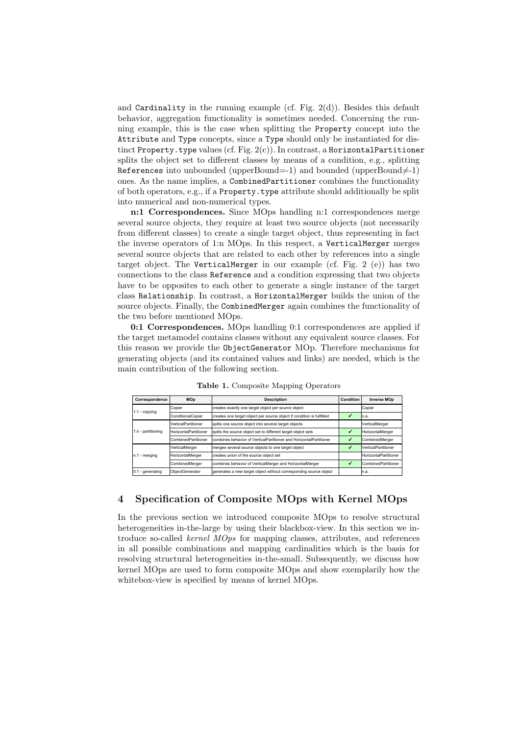and Cardinality in the running example (cf. Fig.  $2(d)$ ). Besides this default behavior, aggregation functionality is sometimes needed. Concerning the running example, this is the case when splitting the Property concept into the Attribute and Type concepts, since a Type should only be instantiated for distinct Property.type values (cf. Fig.  $2(c)$ ). In contrast, a HorizontalPartitioner splits the object set to different classes by means of a condition, e.g., splitting References into unbounded (upperBound=-1) and bounded (upperBound $\neq$ -1) ones. As the name implies, a CombinedPartitioner combines the functionality of both operators, e.g., if a Property.type attribute should additionally be split into numerical and non-numerical types.

n:1 Correspondences. Since MOps handling n:1 correspondences merge several source objects, they require at least two source objects (not necessarily from different classes) to create a single target object, thus representing in fact the inverse operators of 1:n MOps. In this respect, a VerticalMerger merges several source objects that are related to each other by references into a single target object. The VerticalMerger in our example (cf. Fig. 2 (e)) has two connections to the class Reference and a condition expressing that two objects have to be opposites to each other to generate a single instance of the target class Relationship. In contrast, a HorizontalMerger builds the union of the source objects. Finally, the CombinedMerger again combines the functionality of the two before mentioned MOps.

0:1 Correspondences. MOps handling 0:1 correspondences are applied if the target metamodel contains classes without any equivalent source classes. For this reason we provide the ObjectGenerator MOp. Therefore mechanisms for generating objects (and its contained values and links) are needed, which is the main contribution of the following section.

| Correspondence     | MOp                   | <b>Description</b>                                                     | Condition | <b>Inverse MOp</b>    |  |
|--------------------|-----------------------|------------------------------------------------------------------------|-----------|-----------------------|--|
| $1:1 - copying$    | Copier                | creates exactly one target object per source object                    |           | Copier                |  |
|                    | ConditionalCopier     | creates one target object per source object if condition is fullfilled |           | n.a.                  |  |
| 1:n - partitioning | VerticalPartitioner   | splits one source object into several target objects                   |           | VerticalMerger        |  |
|                    | HorizontalPartitioner | splits the source object set to different target object sets           |           | HorizontalMerger      |  |
|                    | CombinedPartitioner   | combines behavior of VerticalPartitioner and HorizontalPartitioner     |           | CombinedMerger        |  |
| n:1 - merging      | VerticalMerger        | merges several source objects to one target object                     |           | VerticalPartitioner   |  |
|                    | HorizontalMerger      | creates union of the source object set                                 |           | HorizontalPartitioner |  |
|                    | CombinedMerger        | combines behavior of VerticalMerger and HorizontalMerger               |           | CombinedPartitioner   |  |
| $0:1$ - generating | ObiectGenerator       | generates a new target object without corresponding source object      |           | n.a.                  |  |

Table 1. Composite Mapping Operators

#### 4 Specification of Composite MOps with Kernel MOps

In the previous section we introduced composite MOps to resolve structural heterogeneities in-the-large by using their blackbox-view. In this section we introduce so-called kernel MOps for mapping classes, attributes, and references in all possible combinations and mapping cardinalities which is the basis for resolving structural heterogeneities in-the-small. Subsequently, we discuss how kernel MOps are used to form composite MOps and show exemplarily how the whitebox-view is specified by means of kernel MOps.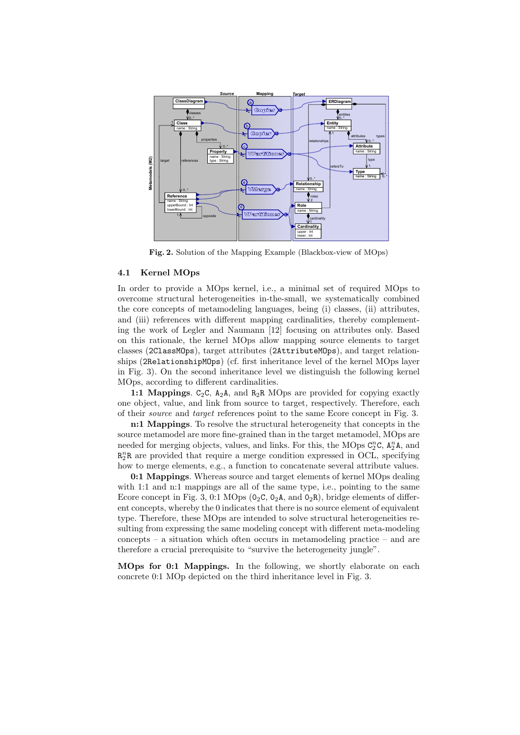

Fig. 2. Solution of the Mapping Example (Blackbox-view of MOps)

#### 4.1 Kernel MOps

In order to provide a MOps kernel, i.e., a minimal set of required MOps to overcome structural heterogeneities in-the-small, we systematically combined the core concepts of metamodeling languages, being (i) classes, (ii) attributes, and (iii) references with different mapping cardinalities, thereby complementing the work of Legler and Naumann [12] focusing on attributes only. Based on this rationale, the kernel MOps allow mapping source elements to target classes (2ClassMOps), target attributes (2AttributeMOps), and target relationships (2RelationshipMOps) (cf. first inheritance level of the kernel MOps layer in Fig. 3). On the second inheritance level we distinguish the following kernel MOps, according to different cardinalities.

1:1 Mappings.  $C_2C$ ,  $A_2A$ , and  $R_2R$  MOps are provided for copying exactly one object, value, and link from source to target, respectively. Therefore, each of their source and target references point to the same Ecore concept in Fig. 3.

n:1 Mappings. To resolve the structural heterogeneity that concepts in the source metamodel are more fine-grained than in the target metamodel, MOps are needed for merging objects, values, and links. For this, the MOps  $C_2^nC$ ,  $A_2^nA$ , and  $R_2^n$ R are provided that require a merge condition expressed in OCL, specifying how to merge elements, e.g., a function to concatenate several attribute values.

0:1 Mappings. Whereas source and target elements of kernel MOps dealing with 1:1 and n:1 mappings are all of the same type, i.e., pointing to the same Ecore concept in Fig. 3, 0:1 MOps ( $0<sub>2</sub>C$ ,  $0<sub>2</sub>A$ , and  $0<sub>2</sub>R$ ), bridge elements of different concepts, whereby the 0 indicates that there is no source element of equivalent type. Therefore, these MOps are intended to solve structural heterogeneities resulting from expressing the same modeling concept with different meta-modeling  $concepts - a situation which often occurs in metamodeling practice - and are$ therefore a crucial prerequisite to "survive the heterogeneity jungle".

MOps for 0:1 Mappings. In the following, we shortly elaborate on each concrete 0:1 MOp depicted on the third inheritance level in Fig. 3.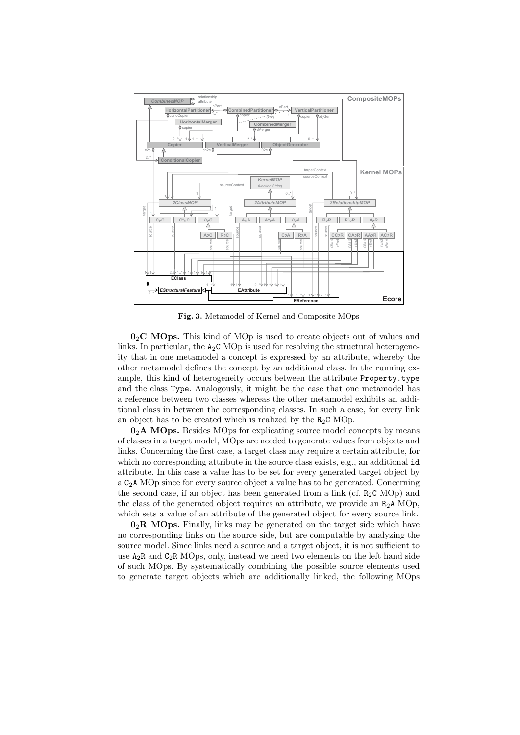

Fig. 3. Metamodel of Kernel and Composite MOps

 $0<sub>2</sub>C$  MOps. This kind of MOp is used to create objects out of values and links. In particular, the  $A_2C$  MOp is used for resolving the structural heterogeneity that in one metamodel a concept is expressed by an attribute, whereby the other metamodel defines the concept by an additional class. In the running example, this kind of heterogeneity occurs between the attribute Property.type and the class Type. Analogously, it might be the case that one metamodel has a reference between two classes whereas the other metamodel exhibits an additional class in between the corresponding classes. In such a case, for every link an object has to be created which is realized by the  $R_2C$  MOp.

 $0<sub>2</sub>A$  MOps. Besides MOps for explicating source model concepts by means of classes in a target model, MOps are needed to generate values from objects and links. Concerning the first case, a target class may require a certain attribute, for which no corresponding attribute in the source class exists, e.g., an additional id attribute. In this case a value has to be set for every generated target object by a C2A MOp since for every source object a value has to be generated. Concerning the second case, if an object has been generated from a link (cf.  $R_2C \text{ MOD}$ ) and the class of the generated object requires an attribute, we provide an  $R_2A$  MOp, which sets a value of an attribute of the generated object for every source link.

 $0<sub>2</sub>R$  MOps. Finally, links may be generated on the target side which have no corresponding links on the source side, but are computable by analyzing the source model. Since links need a source and a target object, it is not sufficient to use  $A_2R$  and  $C_2R$  MOps, only, instead we need two elements on the left hand side of such MOps. By systematically combining the possible source elements used to generate target objects which are additionally linked, the following MOps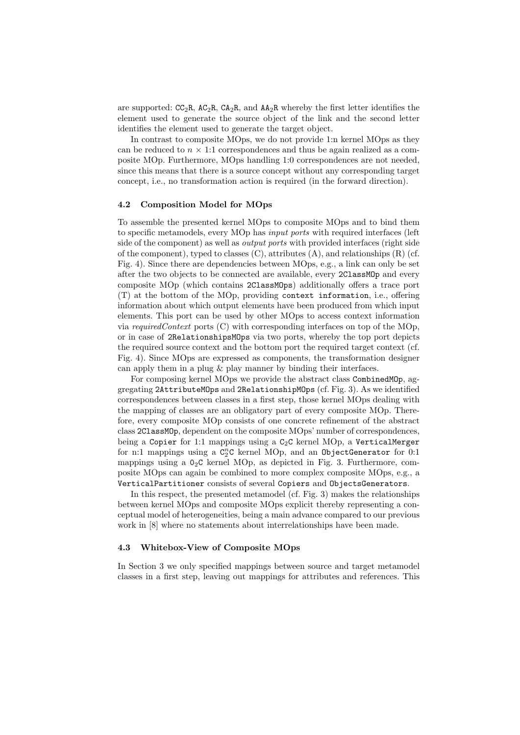are supported:  $CC_2R$ ,  $AC_2R$ ,  $CA_2R$ , and  $AA_2R$  whereby the first letter identifies the element used to generate the source object of the link and the second letter identifies the element used to generate the target object.

In contrast to composite MOps, we do not provide 1:n kernel MOps as they can be reduced to  $n \times 1:1$  correspondences and thus be again realized as a composite MOp. Furthermore, MOps handling 1:0 correspondences are not needed, since this means that there is a source concept without any corresponding target concept, i.e., no transformation action is required (in the forward direction).

#### 4.2 Composition Model for MOps

To assemble the presented kernel MOps to composite MOps and to bind them to specific metamodels, every MOp has input ports with required interfaces (left side of the component) as well as *output ports* with provided interfaces (right side of the component), typed to classes  $(C)$ , attributes  $(A)$ , and relationships  $(R)$  (cf. Fig. 4). Since there are dependencies between MOps, e.g., a link can only be set after the two objects to be connected are available, every 2ClassMOp and every composite MOp (which contains 2ClassMOps) additionally offers a trace port (T) at the bottom of the MOp, providing context information, i.e., offering information about which output elements have been produced from which input elements. This port can be used by other MOps to access context information via required Context ports  $(C)$  with corresponding interfaces on top of the MOp, or in case of 2RelationshipsMOps via two ports, whereby the top port depicts the required source context and the bottom port the required target context (cf. Fig. 4). Since MOps are expressed as components, the transformation designer can apply them in a plug & play manner by binding their interfaces.

For composing kernel MOps we provide the abstract class CombinedMOp, aggregating 2AttributeMOps and 2RelationshipMOps (cf. Fig. 3). As we identified correspondences between classes in a first step, those kernel MOps dealing with the mapping of classes are an obligatory part of every composite MOp. Therefore, every composite MOp consists of one concrete refinement of the abstract class 2ClassMOp, dependent on the composite MOps' number of correspondences, being a Copier for 1:1 mappings using a  $C_2C$  kernel MOp, a VerticalMerger for n:1 mappings using a  $C_2^nC$  kernel MOp, and an ObjectGenerator for 0:1 mappings using a  $O_2C$  kernel MOp, as depicted in Fig. 3. Furthermore, composite MOps can again be combined to more complex composite MOps, e.g., a VerticalPartitioner consists of several Copiers and ObjectsGenerators.

In this respect, the presented metamodel (cf. Fig. 3) makes the relationships between kernel MOps and composite MOps explicit thereby representing a conceptual model of heterogeneities, being a main advance compared to our previous work in [8] where no statements about interrelationships have been made.

#### 4.3 Whitebox-View of Composite MOps

In Section 3 we only specified mappings between source and target metamodel classes in a first step, leaving out mappings for attributes and references. This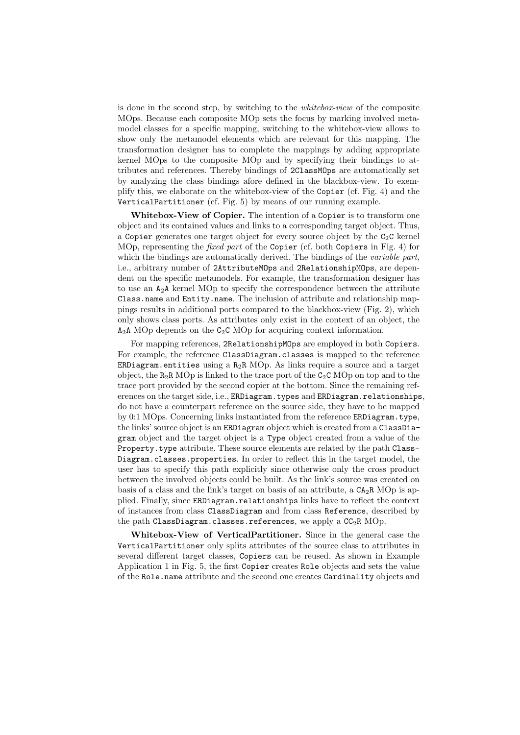is done in the second step, by switching to the whitebox-view of the composite MOps. Because each composite MOp sets the focus by marking involved metamodel classes for a specific mapping, switching to the whitebox-view allows to show only the metamodel elements which are relevant for this mapping. The transformation designer has to complete the mappings by adding appropriate kernel MOps to the composite MOp and by specifying their bindings to attributes and references. Thereby bindings of 2ClassMOps are automatically set by analyzing the class bindings afore defined in the blackbox-view. To exemplify this, we elaborate on the whitebox-view of the Copier (cf. Fig. 4) and the VerticalPartitioner (cf. Fig. 5) by means of our running example.

Whitebox-View of Copier. The intention of a Copier is to transform one object and its contained values and links to a corresponding target object. Thus, a Copier generates one target object for every source object by the  $C_2C$  kernel MOp, representing the fixed part of the Copier (cf. both Copiers in Fig. 4) for which the bindings are automatically derived. The bindings of the *variable part*, i.e., arbitrary number of 2AttributeMOps and 2RelationshipMOps, are dependent on the specific metamodels. For example, the transformation designer has to use an  $A_2A$  kernel MOp to specify the correspondence between the attribute Class.name and Entity.name. The inclusion of attribute and relationship mappings results in additional ports compared to the blackbox-view (Fig. 2), which only shows class ports. As attributes only exist in the context of an object, the  $A_2A$  MOp depends on the C<sub>2</sub>C MOp for acquiring context information.

For mapping references, 2RelationshipMOps are employed in both Copiers. For example, the reference ClassDiagram.classes is mapped to the reference ERDiagram.entities using a  $R_2R$  MOp. As links require a source and a target object, the  $R_2R$  MOp is linked to the trace port of the  $C_2C$  MOp on top and to the trace port provided by the second copier at the bottom. Since the remaining references on the target side, i.e., ERDiagram.types and ERDiagram.relationships, do not have a counterpart reference on the source side, they have to be mapped by 0:1 MOps. Concerning links instantiated from the reference ERDiagram.type, the links' source object is an ERDiagram object which is created from a ClassDiagram object and the target object is a Type object created from a value of the Property.type attribute. These source elements are related by the path Class-Diagram.classes.properties. In order to reflect this in the target model, the user has to specify this path explicitly since otherwise only the cross product between the involved objects could be built. As the link's source was created on basis of a class and the link's target on basis of an attribute, a  $CA_2R$  MOp is applied. Finally, since ERDiagram.relationships links have to reflect the context of instances from class ClassDiagram and from class Reference, described by the path ClassDiagram.classes.references, we apply a  $CC<sub>2</sub>R$  MOp.

Whitebox-View of VerticalPartitioner. Since in the general case the VerticalPartitioner only splits attributes of the source class to attributes in several different target classes, Copiers can be reused. As shown in Example Application 1 in Fig. 5, the first Copier creates Role objects and sets the value of the Role.name attribute and the second one creates Cardinality objects and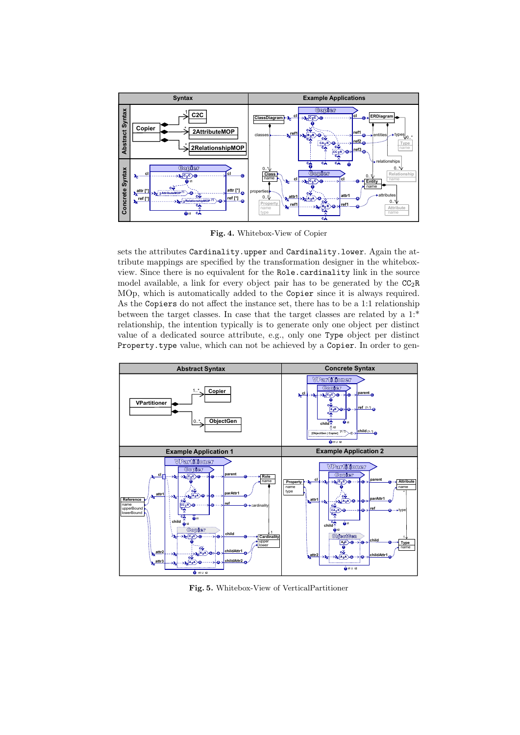

Fig. 4. Whitebox-View of Copier

sets the attributes Cardinality.upper and Cardinality.lower. Again the attribute mappings are specified by the transformation designer in the whiteboxview. Since there is no equivalent for the Role.cardinality link in the source model available, a link for every object pair has to be generated by the  $CC_2R$ MOp, which is automatically added to the Copier since it is always required. As the Copiers do not affect the instance set, there has to be a 1:1 relationship between the target classes. In case that the target classes are related by a 1:\* relationship, the intention typically is to generate only one object per distinct value of a dedicated source attribute, e.g., only one Type object per distinct Property.type value, which can not be achieved by a Copier. In order to gen-



Fig. 5. Whitebox-View of VerticalPartitioner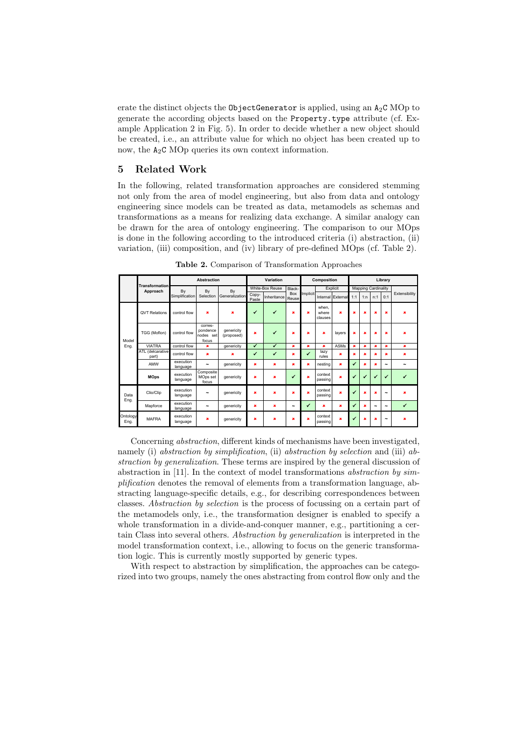erate the distinct objects the ObjectGenerator is applied, using an  $A_2C$  MOp to generate the according objects based on the Property.type attribute (cf. Example Application 2 in Fig. 5). In order to decide whether a new object should be created, i.e., an attribute value for which no object has been created up to now, the  $A_2C$  MOp queries its own context information.

# 5 Related Work

In the following, related transformation approaches are considered stemming not only from the area of model engineering, but also from data and ontology engineering since models can be treated as data, metamodels as schemas and transformations as a means for realizing data exchange. A similar analogy can be drawn for the area of ontology engineering. The comparison to our MOps is done in the following according to the introduced criteria (i) abstraction, (ii) variation, (iii) composition, and (iv) library of pre-defined MOps (cf. Table 2).

|                  | Transformation<br>Approach | <b>Abstraction</b>    |                                           |                          | Variation       |                          | Composition           |          |                           | Library           |                            |     |                          |                |               |
|------------------|----------------------------|-----------------------|-------------------------------------------|--------------------------|-----------------|--------------------------|-----------------------|----------|---------------------------|-------------------|----------------------------|-----|--------------------------|----------------|---------------|
|                  |                            | By                    | By<br>Selection                           | By<br>Generalization     | White-Box Reuse |                          | Black-                |          | Explicit                  |                   | <b>Mapping Cardinality</b> |     |                          |                |               |
|                  |                            | Simplification        |                                           |                          | Copy-<br>Paste  | Inheritance              | Box<br>Reuse          | Implicit |                           | Internal External | 1:1                        | 1:n | n:1                      | 0:1            | Extensibility |
| Model<br>Eng.    | <b>OVT Relations</b>       | control flow          | ×                                         | se.                      | ✓               | $\overline{\mathcal{L}}$ | $\pmb{\times}$        | ×        | when.<br>where<br>clauses | ×                 | ×                          | ×   | ×                        | ×              | ×             |
|                  | TGG (Moflon)               | control flow          | corres-<br>pondence<br>nodes set<br>focus | genericity<br>(proposed) | ×               | $\epsilon$               | $\mathbf x$           | ×        | ×                         | layers            | ×                          | ×   | ×                        | ×              | ×             |
|                  | <b>VIATRA</b>              | control flow          | ×                                         | genericity               | ✔               | ✓                        | ×                     | ×        | ×                         | <b>ASMs</b>       | ×                          | ×   | $\mathbf{r}$             | ×              | ×             |
|                  | ATL (delcarative<br>part)  | control flow          | ×                                         | ×                        | ✓               | ✔                        | ×                     | ✔        | lazy<br>rules             | ×                 | ×                          | ×   | ×                        | ×              | ×             |
|                  | AMW                        | execution<br>language |                                           | genericity               | ×               | ×                        | ×                     | ×        | nesting                   | ×                 | ✔                          | ×   | ×                        | ~              |               |
|                  | <b>MOps</b>                | execution<br>language | Composite<br>MOps set<br>focus            | genericity               | ×               | ×                        | ✔                     | ×        | context<br>passing        | ×                 |                            |     | $\overline{\mathcal{L}}$ | ✔              | ✔             |
| Data<br>Eng.     | Clio/Clip                  | execution<br>language |                                           | genericity               | ×               | ×                        | ×                     | ×        | context<br>passing        | ×                 |                            | ×   | ×                        |                |               |
|                  | Mapforce                   | execution<br>language | ~                                         | genericity               | ×               | ×                        | $\tilde{\phantom{a}}$ | ✔        | ×                         | $\mathbf{x}$      | ✔                          | ×   | $\tilde{\phantom{a}}$    | $\overline{ }$ | $\checkmark$  |
| Ontology<br>Eng. | <b>MAFRA</b>               | execution<br>language | ×                                         | genericity               | ×               | ×                        | ×                     | ×        | context<br>passing        | ×                 |                            | ×   | ×                        |                |               |

Table 2. Comparison of Transformation Approaches

Concerning abstraction, different kinds of mechanisms have been investigated, namely (i) abstraction by simplification, (ii) abstraction by selection and (iii) abstraction by generalization. These terms are inspired by the general discussion of abstraction in [11]. In the context of model transformations abstraction by simplification denotes the removal of elements from a transformation language, abstracting language-specific details, e.g., for describing correspondences between classes. Abstraction by selection is the process of focussing on a certain part of the metamodels only, i.e., the transformation designer is enabled to specify a whole transformation in a divide-and-conquer manner, e.g., partitioning a certain Class into several others. Abstraction by generalization is interpreted in the model transformation context, i.e., allowing to focus on the generic transformation logic. This is currently mostly supported by generic types.

With respect to abstraction by simplification, the approaches can be categorized into two groups, namely the ones abstracting from control flow only and the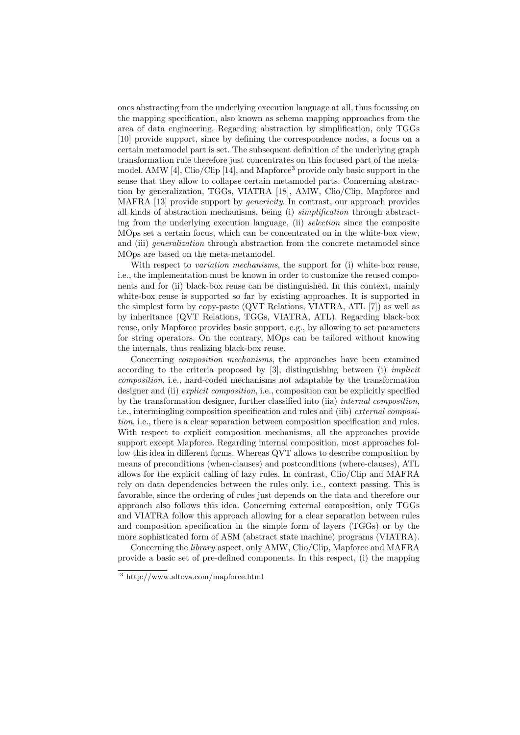ones abstracting from the underlying execution language at all, thus focussing on the mapping specification, also known as schema mapping approaches from the area of data engineering. Regarding abstraction by simplification, only TGGs [10] provide support, since by defining the correspondence nodes, a focus on a certain metamodel part is set. The subsequent definition of the underlying graph transformation rule therefore just concentrates on this focused part of the metamodel. AMW [4], Clio/Clip [14], and Mapforce<sup>3</sup> provide only basic support in the sense that they allow to collapse certain metamodel parts. Concerning abstraction by generalization, TGGs, VIATRA [18], AMW, Clio/Clip, Mapforce and MAFRA [13] provide support by genericity. In contrast, our approach provides all kinds of abstraction mechanisms, being (i) simplification through abstracting from the underlying execution language, (ii) selection since the composite MOps set a certain focus, which can be concentrated on in the white-box view, and (iii) generalization through abstraction from the concrete metamodel since MOps are based on the meta-metamodel.

With respect to *variation mechanisms*, the support for (i) white-box reuse, i.e., the implementation must be known in order to customize the reused components and for (ii) black-box reuse can be distinguished. In this context, mainly white-box reuse is supported so far by existing approaches. It is supported in the simplest form by copy-paste (QVT Relations, VIATRA, ATL [7]) as well as by inheritance (QVT Relations, TGGs, VIATRA, ATL). Regarding black-box reuse, only Mapforce provides basic support, e.g., by allowing to set parameters for string operators. On the contrary, MOps can be tailored without knowing the internals, thus realizing black-box reuse.

Concerning *composition mechanisms*, the approaches have been examined according to the criteria proposed by  $[3]$ , distinguishing between (i) *implicit* composition, i.e., hard-coded mechanisms not adaptable by the transformation designer and (ii) *explicit composition*, i.e., composition can be explicitly specified by the transformation designer, further classified into (iia) internal composition, i.e., intermingling composition specification and rules and (iib) external composition, i.e., there is a clear separation between composition specification and rules. With respect to explicit composition mechanisms, all the approaches provide support except Mapforce. Regarding internal composition, most approaches follow this idea in different forms. Whereas QVT allows to describe composition by means of preconditions (when-clauses) and postconditions (where-clauses), ATL allows for the explicit calling of lazy rules. In contrast, Clio/Clip and MAFRA rely on data dependencies between the rules only, i.e., context passing. This is favorable, since the ordering of rules just depends on the data and therefore our approach also follows this idea. Concerning external composition, only TGGs and VIATRA follow this approach allowing for a clear separation between rules and composition specification in the simple form of layers (TGGs) or by the more sophisticated form of ASM (abstract state machine) programs (VIATRA).

Concerning the library aspect, only AMW, Clio/Clip, Mapforce and MAFRA provide a basic set of pre-defined components. In this respect, (i) the mapping

<sup>3</sup> http://www.altova.com/mapforce.html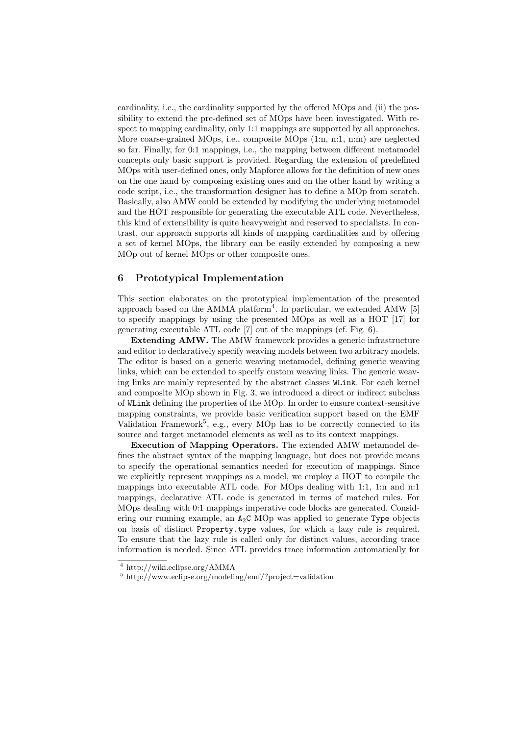cardinality, i.e., the cardinality supported by the offered MOps and (ii) the possibility to extend the pre-defined set of MOps have been investigated. With respect to mapping cardinality, only 1:1 mappings are supported by all approaches. More coarse-grained MOps, i.e., composite MOps  $(1:n, n:1, n:m)$  are neglected so far. Finally, for 0:1 mappings, i.e., the mapping between different metamodel concepts only basic support is provided. Regarding the extension of predefined MOps with user-defined ones, only Mapforce allows for the definition of new ones on the one hand by composing existing ones and on the other hand by writing a code script, i.e., the transformation designer has to define a MOp from scratch. Basically, also AMW could be extended by modifying the underlying metamodel and the HOT responsible for generating the executable ATL code. Nevertheless, this kind of extensibility is quite heavyweight and reserved to specialists. In contrast, our approach supports all kinds of mapping cardinalities and by offering a set of kernel MOps, the library can be easily extended by composing a new MOp out of kernel MOps or other composite ones.

## 6 Prototypical Implementation

This section elaborates on the prototypical implementation of the presented approach based on the AMMA platform<sup>4</sup>. In particular, we extended AMW [5] to specify mappings by using the presented MOps as well as a HOT [17] for generating executable ATL code [7] out of the mappings (cf. Fig. 6).

Extending AMW. The AMW framework provides a generic infrastructure and editor to declaratively specify weaving models between two arbitrary models. The editor is based on a generic weaving metamodel, defining generic weaving links, which can be extended to specify custom weaving links. The generic weaving links are mainly represented by the abstract classes WLink. For each kernel and composite MOp shown in Fig. 3, we introduced a direct or indirect subclass of WLink defining the properties of the MOp. In order to ensure context-sensitive mapping constraints, we provide basic verification support based on the EMF Validation Framework<sup>5</sup>, e.g., every MOp has to be correctly connected to its source and target metamodel elements as well as to its context mappings.

Execution of Mapping Operators. The extended AMW metamodel defines the abstract syntax of the mapping language, but does not provide means to specify the operational semantics needed for execution of mappings. Since we explicitly represent mappings as a model, we employ a HOT to compile the mappings into executable ATL code. For MOps dealing with 1:1, 1:n and n:1 mappings, declarative ATL code is generated in terms of matched rules. For MOps dealing with 0:1 mappings imperative code blocks are generated. Considering our running example, an  $A_2C$  MOp was applied to generate Type objects on basis of distinct Property.type values, for which a lazy rule is required. To ensure that the lazy rule is called only for distinct values, according trace information is needed. Since ATL provides trace information automatically for

<sup>4</sup> http://wiki.eclipse.org/AMMA

 $5 \text{ http://www.eclipse.org/modeling/emf/?project=validation}$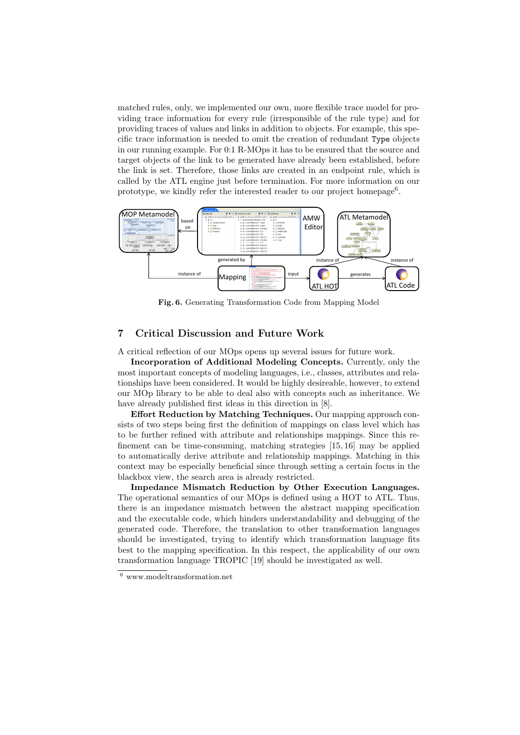matched rules, only, we implemented our own, more flexible trace model for providing trace information for every rule (irresponsible of the rule type) and for providing traces of values and links in addition to objects. For example, this specific trace information is needed to omit the creation of redundant Type objects in our running example. For 0:1 R-MOps it has to be ensured that the source and target objects of the link to be generated have already been established, before the link is set. Therefore, those links are created in an endpoint rule, which is called by the ATL engine just before termination. For more information on our prototype, we kindly refer the interested reader to our project homepage<sup>6</sup>.



Fig. 6. Generating Transformation Code from Mapping Model

#### 7 Critical Discussion and Future Work

A critical reflection of our MOps opens up several issues for future work.

Incorporation of Additional Modeling Concepts. Currently, only the most important concepts of modeling languages, i.e., classes, attributes and relationships have been considered. It would be highly desireable, however, to extend our MOp library to be able to deal also with concepts such as inheritance. We have already published first ideas in this direction in [8].

Effort Reduction by Matching Techniques. Our mapping approach consists of two steps being first the definition of mappings on class level which has to be further refined with attribute and relationships mappings. Since this refinement can be time-consuming, matching strategies [15, 16] may be applied to automatically derive attribute and relationship mappings. Matching in this context may be especially beneficial since through setting a certain focus in the blackbox view, the search area is already restricted.

Impedance Mismatch Reduction by Other Execution Languages. The operational semantics of our MOps is defined using a HOT to ATL. Thus, there is an impedance mismatch between the abstract mapping specification and the executable code, which hinders understandability and debugging of the generated code. Therefore, the translation to other transformation languages should be investigated, trying to identify which transformation language fits best to the mapping specification. In this respect, the applicability of our own transformation language TROPIC [19] should be investigated as well.

 $^6$ www.modeltransformation.net